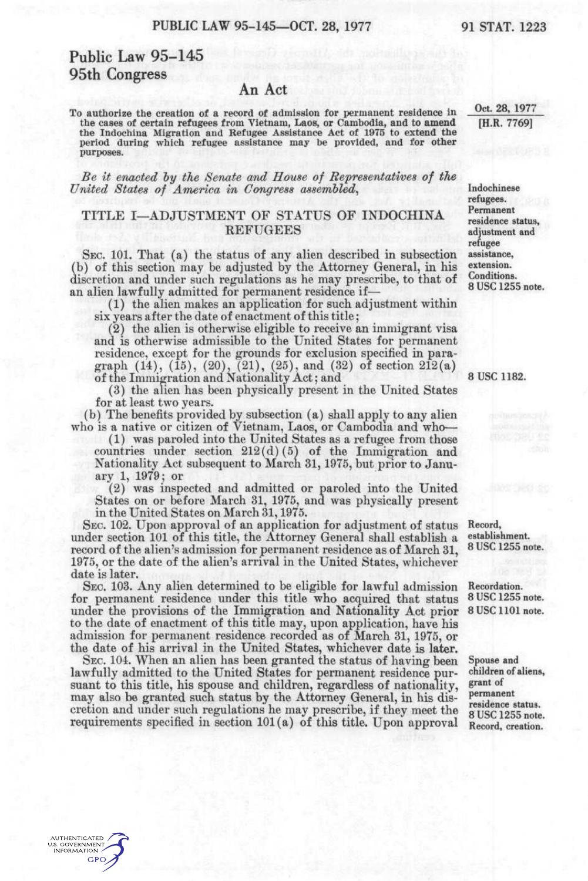# Public Law 95-145 95th Congress

#### An Act

To authorize the creation of a record of admission for permanent residence in the cases of certain refugees from Vietnam, Laos, or Cambodia, and to amend the Indochina Migration and Refugee Assistance Act of 1975 to extend the period during which refugee assistance may be provided, and for other purposes.

*Be it enacted hy the Senate and House of Representatives of the United States of America in Congress assembled,* 

### TITLE I-ADJUSTMENT OF STATUS OF INDOCHINA **REFUGEES**

SEC. 101. That  $(a)$  the status of any alien described in subsection (b) of this section may be adjusted by the Attorney General, in his discretion and under such regulations as he may prescribe, to that of an alien lawfully admitted for permanent residence if-

(1) the alien makes an application for such adjustment within six years after the date of enactment of this title;

(2) the alien is otherwise eligible to receive an immigrant visa and is otherwise admissible to the United States for permanent residence, except for the grounds for exclusion specified in paragraph  $(14)$ ,  $(15)$ ,  $(20)$ ,  $(21)$ ,  $(25)$ , and  $(32)$  of section  $212(a)$ of the Immigration and Nationality Act; and

(3) the alien has been physically present in the United States for at least two years.

(b) The benefits provided by subsection (a) shall apply to any alien who is a native or citizen of Vietnam, Laos, or Cambodia and who—

(1) was paroled into the United States as a refugee from those countries under section  $212(d)(5)$  of the Immigration and Nationality Act subsequent to March 31, 1975, but prior to January 1, 1979; or

(2) was inspected and admitted or paroled into the United States on or before March 31, 1975, and was physically present in the United States on March 31,1975.

SEC. 102. Upon approval of an application for adjustment of status under section 101 of this title, the Attorney General shall establish a record of the alien's admission for permanent residence as of March 31, 1975, or the date of the alien's arrival in the United States, whichever date is later.

SEC. 103. Any alien determined to be eligible for lawful admission for permanent residence under this title who acquired that status under the provisions of the Immigration and Nationality Act prior to the date of enactment of this title may, upon application, have his admission for permanent residence recorded as of March 31, 1975, or the date of his arrival in the United States, whichever date is later.

SEC. 104. When an alien has been granted the status of having been lawfully admitted to the United States for permanent residence pursuant to this title, his spouse and children, regardless of nationality, may; also be granted such status by the Attorney General, in his discretion and under such regulations he may prescribe, if they meet the requirements specified in section 101(a) of this title. Upon approval

8 USC 1182.

Record, establishment. 8 USC 1255 note.

Recordation. 8 USC 1255 note. 8 USC 1101 note.

Spouse and children of aliens, grant of permanent residence status. 8 USC 1255 note. Record, creation.

Oct. 28, 1977 [H.R. 7769]

Indochinese refugees. Permanent residence status, adjustment and refugee assistance, extension. Conditions. 8 USC 1255 note.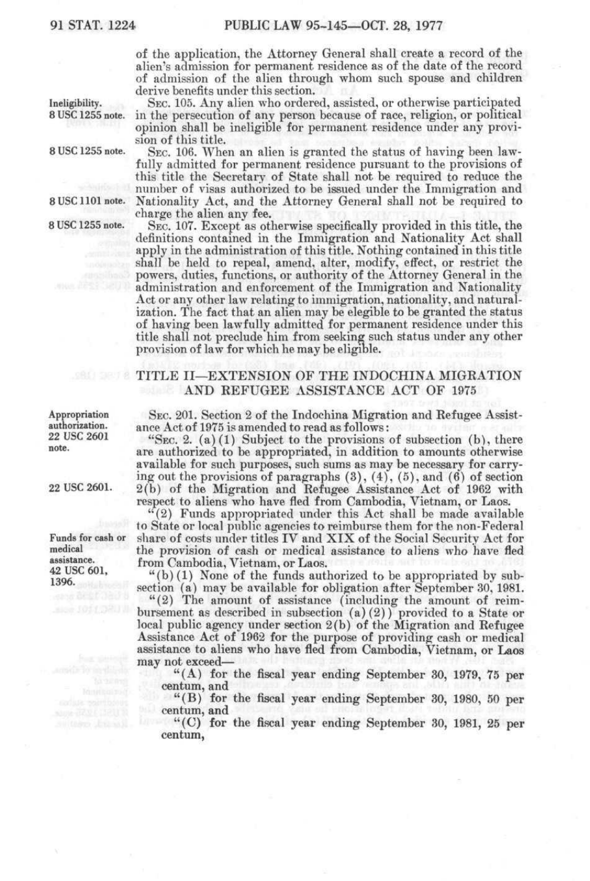of the application, the Attorney General shall create a record of the alien's admission for permanent residence as of the date of the record of admission of the alien through whom such spouse and children derive benefits under this section.

Ineligibility. SEC. 105. Any alien who ordered, assisted, or otherwise participated 8 USC 1255 note. in the persecution of any person because of race, religion, or political in the persecution of any person because of race, religion, or political opinion shall be ineligible for permanent residence under any provision of this title.

8 USC 1255 note. SEC. 106. When an alien is granted the status of having been lawfully admitted for permanent residence pursuant to the provisions of this title the Secretary of State shall not be required to reduce the number of visas authorized to be issued under the Immigration and 8 USC 1101 note. Nationality Act, and the Attorney General shall not be required to charge the alien any fee.

8 USC 1255 note. SEC. 107. Except as otherwise specifically provided in this title, the definitions contained in the Immigration and Nationality Act shall apply in the administration of this title. Nothing contained in this title shall be held to repeal, amend, alter, modify, effect, or restrict the powers, duties, functions, or authority of the Attorney General in the administration and enforcement of the Immigration and Nationality Act or any other law relating to immigration, nationality, and naturalization. The fact that an alien may be elegible to be granted the status of having been lawfully admitted for permanent residence under this title shall not preclude him from seeking such status under any other provision of law for which he may be eligible.

## TITLE II—EXTENSION OF THE INDOCHINA MIGRATION AND REFUGEE ASSISTANCE ACT OF 1975

SEC. 201. Section 2 of the Indochina Migration and Refugee Assistance Act of 1975 is amended to read as follows:

"Sec. 2.  $(a)(1)$  Subject to the provisions of subsection  $(b)$ , there are authorized to be appropriated, in addition to amounts otherwise available for such purposes, such sums as may be necessary for carrying out the provisions of paragraphs  $(3)$ ,  $(4)$ ,  $(5)$ , and  $(6)$  of section 2(b) of the Migration and Refugee Assistance Act of 1962 with respect to aliens who have fled from Cambodia, Vietnam, or Laos.

"(2) Funds appropriated under this Act shall be made available to State or local public agencies to reimburse them for the non-Federal share of costs under titles IV and XIX of the Social Security Act for the provision of cash or medical assistance to aliens who have fled from Cambodia, Vietnam, or Laos.

"(b) (1) None of the funds authorized to be appropriated by subsection (a) may be available for obligation after September 30, 1981.

"(2) The amount of assistance (including the amount of reimbursement as described in subsection  $(a)(2)$ ) provided to a State or local public agency under section 2(b) of the Migration and Refugee Assistance Act of 1962 for the purpose of providing cash or medical assistance to aliens who have fled from Cambodia, Vietnam, or Laos may not exceed—

 $(A)$  for the fiscal year ending September 30, 1979, 75 per centum, and

"(B) for the fiscal year ending September 30, 1980, 50 per centum, and<br> $\frac{60}{100}$  for

"(C) for the fiscal year ending September 30, 1981, 25 per centum,

Appropriation authorization. 22 USC 2601 note.

22 USC 2601.

Funds for cash or medical assistance. 42 use 601, 1396.